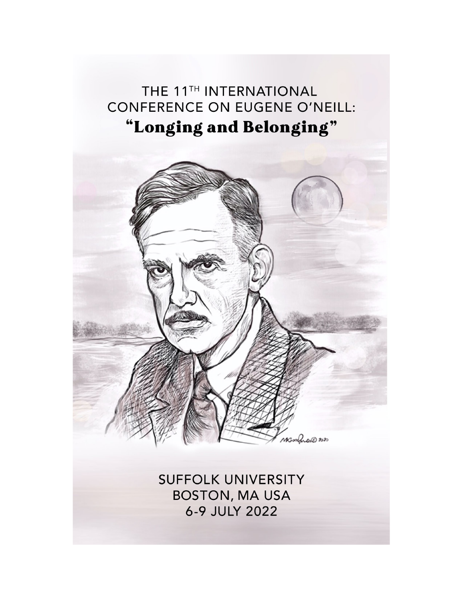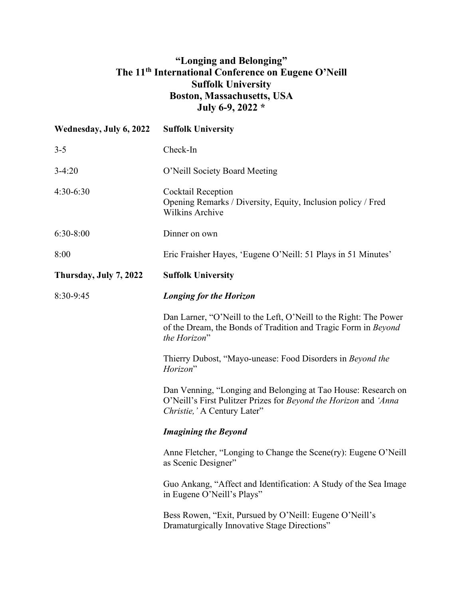## **"Longing and Belonging" The 11th International Conference on Eugene O'Neill Suffolk University Boston, Massachusetts, USA July 6-9, 2022 \***

| Wednesday, July 6, 2022 | <b>Suffolk University</b>                                                                                                                                         |
|-------------------------|-------------------------------------------------------------------------------------------------------------------------------------------------------------------|
| $3 - 5$                 | Check-In                                                                                                                                                          |
| $3-4:20$                | O'Neill Society Board Meeting                                                                                                                                     |
| $4:30-6:30$             | Cocktail Reception<br>Opening Remarks / Diversity, Equity, Inclusion policy / Fred<br><b>Wilkins Archive</b>                                                      |
| $6:30-8:00$             | Dinner on own                                                                                                                                                     |
| 8:00                    | Eric Fraisher Hayes, 'Eugene O'Neill: 51 Plays in 51 Minutes'                                                                                                     |
| Thursday, July 7, 2022  | <b>Suffolk University</b>                                                                                                                                         |
| 8:30-9:45               | <b>Longing for the Horizon</b>                                                                                                                                    |
|                         | Dan Larner, "O'Neill to the Left, O'Neill to the Right: The Power<br>of the Dream, the Bonds of Tradition and Tragic Form in Beyond<br>the Horizon"               |
|                         | Thierry Dubost, "Mayo-unease: Food Disorders in Beyond the<br>Horizon"                                                                                            |
|                         | Dan Venning, "Longing and Belonging at Tao House: Research on<br>O'Neill's First Pulitzer Prizes for Beyond the Horizon and 'Anna<br>Christie, ' A Century Later" |
|                         | <b>Imagining the Beyond</b>                                                                                                                                       |
|                         | Anne Fletcher, "Longing to Change the Scene(ry): Eugene O'Neill<br>as Scenic Designer"                                                                            |
|                         | Guo Ankang, "Affect and Identification: A Study of the Sea Image<br>in Eugene O'Neill's Plays"                                                                    |
|                         | Bess Rowen, "Exit, Pursued by O'Neill: Eugene O'Neill's<br>Dramaturgically Innovative Stage Directions"                                                           |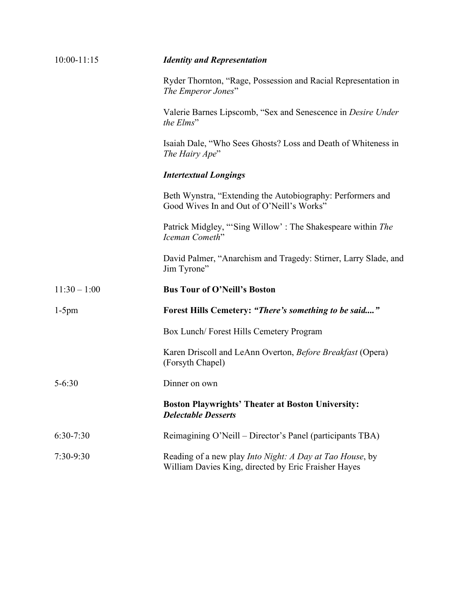| $10:00 - 11:15$ | <b>Identity and Representation</b>                                                                               |
|-----------------|------------------------------------------------------------------------------------------------------------------|
|                 | Ryder Thornton, "Rage, Possession and Racial Representation in<br>The Emperor Jones"                             |
|                 | Valerie Barnes Lipscomb, "Sex and Senescence in <i>Desire Under</i><br>the Elms"                                 |
|                 | Isaiah Dale, "Who Sees Ghosts? Loss and Death of Whiteness in<br>The Hairy Ape"                                  |
|                 | <b>Intertextual Longings</b>                                                                                     |
|                 | Beth Wynstra, "Extending the Autobiography: Performers and<br>Good Wives In and Out of O'Neill's Works"          |
|                 | Patrick Midgley, "'Sing Willow': The Shakespeare within The<br>Iceman Cometh"                                    |
|                 | David Palmer, "Anarchism and Tragedy: Stirner, Larry Slade, and<br>Jim Tyrone"                                   |
| $11:30 - 1:00$  | <b>Bus Tour of O'Neill's Boston</b>                                                                              |
| $1-5$ pm        | Forest Hills Cemetery: "There's something to be said"                                                            |
|                 | Box Lunch/Forest Hills Cemetery Program                                                                          |
|                 | Karen Driscoll and LeAnn Overton, Before Breakfast (Opera)<br>(Forsyth Chapel)                                   |
| $5 - 6:30$      | Dinner on own                                                                                                    |
|                 | <b>Boston Playwrights' Theater at Boston University:</b><br><b>Delectable Desserts</b>                           |
| 6:30-7:30       | Reimagining O'Neill – Director's Panel (participants TBA)                                                        |
| 7:30-9:30       | Reading of a new play Into Night: A Day at Tao House, by<br>William Davies King, directed by Eric Fraisher Hayes |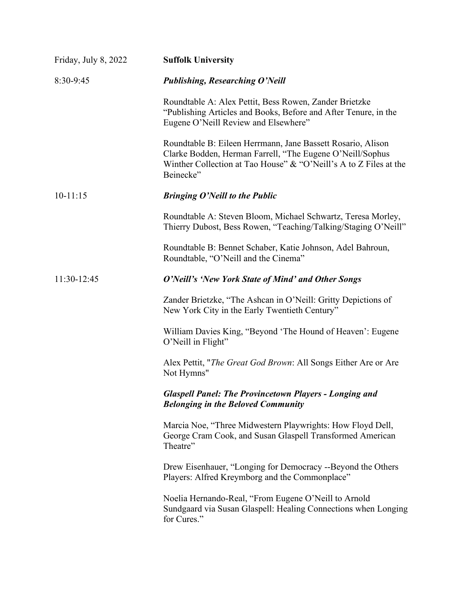| Friday, July 8, 2022 | <b>Suffolk University</b>                                                                                                                                                                                  |
|----------------------|------------------------------------------------------------------------------------------------------------------------------------------------------------------------------------------------------------|
| 8:30-9:45            | <b>Publishing, Researching O'Neill</b>                                                                                                                                                                     |
|                      | Roundtable A: Alex Pettit, Bess Rowen, Zander Brietzke<br>"Publishing Articles and Books, Before and After Tenure, in the<br>Eugene O'Neill Review and Elsewhere"                                          |
|                      | Roundtable B: Eileen Herrmann, Jane Bassett Rosario, Alison<br>Clarke Bodden, Herman Farrell, "The Eugene O'Neill/Sophus<br>Winther Collection at Tao House" & "O'Neill's A to Z Files at the<br>Beinecke" |
| $10-11:15$           | <b>Bringing O'Neill to the Public</b>                                                                                                                                                                      |
|                      | Roundtable A: Steven Bloom, Michael Schwartz, Teresa Morley,<br>Thierry Dubost, Bess Rowen, "Teaching/Talking/Staging O'Neill"                                                                             |
|                      | Roundtable B: Bennet Schaber, Katie Johnson, Adel Bahroun,<br>Roundtable, "O'Neill and the Cinema"                                                                                                         |
| 11:30-12:45          | O'Neill's 'New York State of Mind' and Other Songs                                                                                                                                                         |
|                      | Zander Brietzke, "The Ashcan in O'Neill: Gritty Depictions of<br>New York City in the Early Twentieth Century"                                                                                             |
|                      | William Davies King, "Beyond 'The Hound of Heaven': Eugene<br>O'Neill in Flight"                                                                                                                           |
|                      | Alex Pettit, " <i>The Great God Brown</i> : All Songs Either Are or Are<br>Not Hymns"                                                                                                                      |
|                      | <b>Glaspell Panel: The Provincetown Players - Longing and</b><br><b>Belonging in the Beloved Community</b>                                                                                                 |
|                      | Marcia Noe, "Three Midwestern Playwrights: How Floyd Dell,<br>George Cram Cook, and Susan Glaspell Transformed American<br>Theatre"                                                                        |
|                      | Drew Eisenhauer, "Longing for Democracy --Beyond the Others<br>Players: Alfred Kreymborg and the Commonplace"                                                                                              |
|                      | Noelia Hernando-Real, "From Eugene O'Neill to Arnold<br>Sundgaard via Susan Glaspell: Healing Connections when Longing<br>for Cures."                                                                      |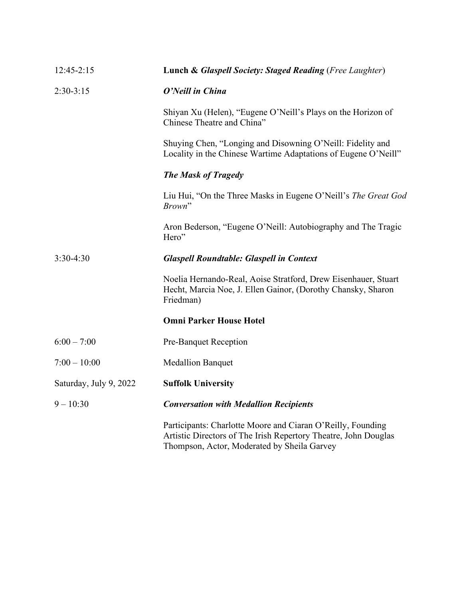| 12:45-2:15             | Lunch & Glaspell Society: Staged Reading (Free Laughter)                                                                                                                      |
|------------------------|-------------------------------------------------------------------------------------------------------------------------------------------------------------------------------|
| $2:30-3:15$            | O'Neill in China                                                                                                                                                              |
|                        | Shiyan Xu (Helen), "Eugene O'Neill's Plays on the Horizon of<br>Chinese Theatre and China"                                                                                    |
|                        | Shuying Chen, "Longing and Disowning O'Neill: Fidelity and<br>Locality in the Chinese Wartime Adaptations of Eugene O'Neill"                                                  |
|                        | <b>The Mask of Tragedy</b>                                                                                                                                                    |
|                        | Liu Hui, "On the Three Masks in Eugene O'Neill's The Great God<br>Brown"                                                                                                      |
|                        | Aron Bederson, "Eugene O'Neill: Autobiography and The Tragic<br>Hero"                                                                                                         |
| $3:30-4:30$            | <b>Glaspell Roundtable: Glaspell in Context</b>                                                                                                                               |
|                        | Noelia Hernando-Real, Aoise Stratford, Drew Eisenhauer, Stuart<br>Hecht, Marcia Noe, J. Ellen Gainor, (Dorothy Chansky, Sharon<br>Friedman)                                   |
|                        | <b>Omni Parker House Hotel</b>                                                                                                                                                |
| $6:00 - 7:00$          | Pre-Banquet Reception                                                                                                                                                         |
| $7:00 - 10:00$         | <b>Medallion Banquet</b>                                                                                                                                                      |
| Saturday, July 9, 2022 | <b>Suffolk University</b>                                                                                                                                                     |
| $9 - 10:30$            | <b>Conversation with Medallion Recipients</b>                                                                                                                                 |
|                        | Participants: Charlotte Moore and Ciaran O'Reilly, Founding<br>Artistic Directors of The Irish Repertory Theatre, John Douglas<br>Thompson, Actor, Moderated by Sheila Garvey |